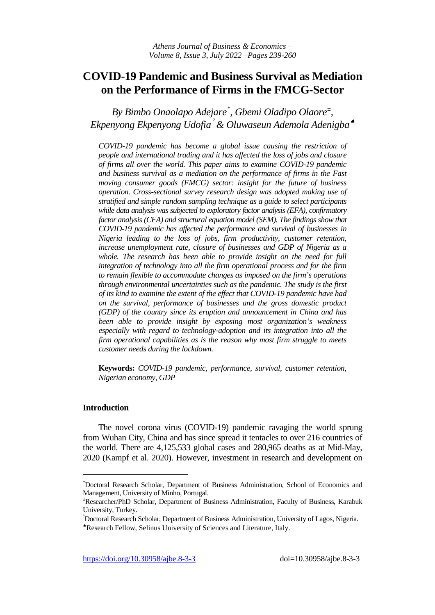# **COVID-19 Pandemic and Business Survival as Mediation on the Performance of Firms in the FMCG-Sector**

*By Bimbo Onaolapo Adejare[\\*](#page-0-0) , Gbemi Oladipo Olaore[±](#page-0-1) , Ekpenyong Ekpenyong Udofia*° *& Oluwaseun Ademola Adenigba*[♠](#page-0-2)

*COVID-19 pandemic has become a global issue causing the restriction of people and international trading and it has affected the loss of jobs and closure of firms all over the world. This paper aims to examine COVID-19 pandemic and business survival as a mediation on the performance of firms in the Fast moving consumer goods (FMCG) sector: insight for the future of business operation. Cross-sectional survey research design was adopted making use of stratified and simple random sampling technique as a guide to select participants while data analysis was subjected to exploratory factor analysis (EFA), confirmatory factor analysis (CFA) and structural equation model (SEM). The findings show that COVID-19 pandemic has affected the performance and survival of businesses in Nigeria leading to the loss of jobs, firm productivity, customer retention, increase unemployment rate, closure of businesses and GDP of Nigeria as a*  whole. The research has been able to provide insight on the need for full *integration of technology into all the firm operational process and for the firm to remain flexible to accommodate changes as imposed on the firm's operations through environmental uncertainties such as the pandemic. The study is the first of its kind to examine the extent of the effect that COVID-19 pandemic have had on the survival, performance of businesses and the gross domestic product (GDP) of the country since its eruption and announcement in China and has been able to provide insight by exposing most organization's weakness especially with regard to technology-adoption and its integration into all the firm operational capabilities as is the reason why most firm struggle to meets customer needs during the lockdown.* 

**Keywords:** *COVID-19 pandemic, performance, survival, customer retention, Nigerian economy, GDP*

## **Introduction**

j

The novel corona virus (COVID-19) pandemic ravaging the world sprung from Wuhan City, China and has since spread it tentacles to over 216 countries of the world. There are 4,125,533 global cases and 280,965 deaths as at Mid-May, 2020 (Kampf et al. 2020). However, investment in research and development on

<span id="page-0-0"></span><sup>\*</sup> Doctoral Research Scholar, Department of Business Administration, School of Economics and Management, University of Minho, Portugal.

<span id="page-0-1"></span><sup>±</sup> Researcher/PhD Scholar, Department of Business Administration, Faculty of Business, Karabuk University, Turkey.

<span id="page-0-2"></span><sup>°</sup> Doctoral Research Scholar, Department of Business Administration, University of Lagos, Nigeria. ♠Research Fellow, Selinus University of Sciences and Literature, Italy.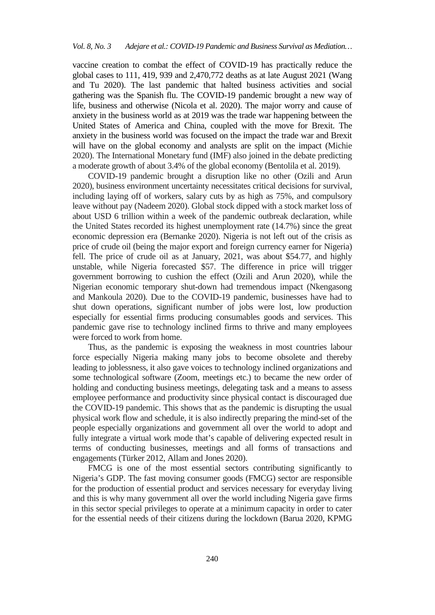vaccine creation to combat the effect of COVID-19 has practically reduce the global cases to 111, 419, 939 and 2,470,772 deaths as at late August 2021 (Wang and Tu 2020). The last pandemic that halted business activities and social gathering was the Spanish flu. The COVID-19 pandemic brought a new way of life, business and otherwise (Nicola et al. 2020). The major worry and cause of anxiety in the business world as at 2019 was the trade war happening between the United States of America and China, coupled with the move for Brexit. The anxiety in the business world was focused on the impact the trade war and Brexit will have on the global economy and analysts are split on the impact (Michie 2020). The International Monetary fund (IMF) also joined in the debate predicting a moderate growth of about 3.4% of the global economy (Bentolila et al. 2019).

COVID-19 pandemic brought a disruption like no other (Ozili and Arun 2020), business environment uncertainty necessitates critical decisions for survival, including laying off of workers, salary cuts by as high as 75%, and compulsory leave without pay (Nadeem 2020). Global stock dipped with a stock market loss of about USD 6 trillion within a week of the pandemic outbreak declaration, while the United States recorded its highest unemployment rate (14.7%) since the great economic depression era (Bernanke 2020). Nigeria is not left out of the crisis as price of crude oil (being the major export and foreign currency earner for Nigeria) fell. The price of crude oil as at January, 2021, was about \$54.77, and highly unstable, while Nigeria forecasted \$57. The difference in price will trigger government borrowing to cushion the effect (Ozili and Arun 2020), while the Nigerian economic temporary shut-down had tremendous impact (Nkengasong and Mankoula 2020). Due to the COVID-19 pandemic, businesses have had to shut down operations, significant number of jobs were lost, low production especially for essential firms producing consumables goods and services. This pandemic gave rise to technology inclined firms to thrive and many employees were forced to work from home.

Thus, as the pandemic is exposing the weakness in most countries labour force especially Nigeria making many jobs to become obsolete and thereby leading to joblessness, it also gave voices to technology inclined organizations and some technological software (Zoom, meetings etc.) to became the new order of holding and conducting business meetings, delegating task and a means to assess employee performance and productivity since physical contact is discouraged due the COVID-19 pandemic. This shows that as the pandemic is disrupting the usual physical work flow and schedule, it is also indirectly preparing the mind-set of the people especially organizations and government all over the world to adopt and fully integrate a virtual work mode that's capable of delivering expected result in terms of conducting businesses, meetings and all forms of transactions and engagements (Türker 2012, Allam and Jones 2020).

FMCG is one of the most essential sectors contributing significantly to Nigeria's GDP. The fast moving consumer goods (FMCG) sector are responsible for the production of essential product and services necessary for everyday living and this is why many government all over the world including Nigeria gave firms in this sector special privileges to operate at a minimum capacity in order to cater for the essential needs of their citizens during the lockdown (Barua 2020, KPMG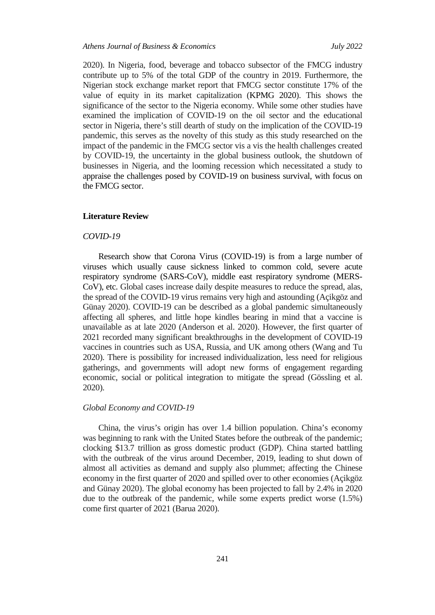#### *Athens Journal of Business & Economics July 2022*

2020). In Nigeria, food, beverage and tobacco subsector of the FMCG industry contribute up to 5% of the total GDP of the country in 2019. Furthermore, the Nigerian stock exchange market report that FMCG sector constitute 17% of the value of equity in its market capitalization (KPMG 2020). This shows the significance of the sector to the Nigeria economy. While some other studies have examined the implication of COVID-19 on the oil sector and the educational sector in Nigeria, there's still dearth of study on the implication of the COVID-19 pandemic, this serves as the novelty of this study as this study researched on the impact of the pandemic in the FMCG sector vis a vis the health challenges created by COVID-19, the uncertainty in the global business outlook, the shutdown of businesses in Nigeria, and the looming recession which necessitated a study to appraise the challenges posed by COVID-19 on business survival, with focus on the FMCG sector.

## **Literature Review**

#### *COVID-19*

Research show that Corona Virus (COVID-19) is from a large number of viruses which usually cause sickness linked to common cold, severe acute respiratory syndrome (SARS-CoV), middle east respiratory syndrome (MERS-CoV), etc. Global cases increase daily despite measures to reduce the spread, alas, the spread of the COVID-19 virus remains very high and astounding (Açikgöz and Günay 2020). COVID-19 can be described as a global pandemic simultaneously affecting all spheres, and little hope kindles bearing in mind that a vaccine is unavailable as at late 2020 (Anderson et al. 2020). However, the first quarter of 2021 recorded many significant breakthroughs in the development of COVID-19 vaccines in countries such as USA, Russia, and UK among others (Wang and Tu 2020). There is possibility for increased individualization, less need for religious gatherings, and governments will adopt new forms of engagement regarding economic, social or political integration to mitigate the spread (Gössling et al. 2020).

#### *Global Economy and COVID-19*

China, the virus's origin has over 1.4 billion population. China's economy was beginning to rank with the United States before the outbreak of the pandemic; clocking \$13.7 trillion as gross domestic product (GDP). China started battling with the outbreak of the virus around December, 2019, leading to shut down of almost all activities as demand and supply also plummet; affecting the Chinese economy in the first quarter of 2020 and spilled over to other economies (Açikgöz and Günay 2020). The global economy has been projected to fall by 2.4% in 2020 due to the outbreak of the pandemic, while some experts predict worse (1.5%) come first quarter of 2021 (Barua 2020).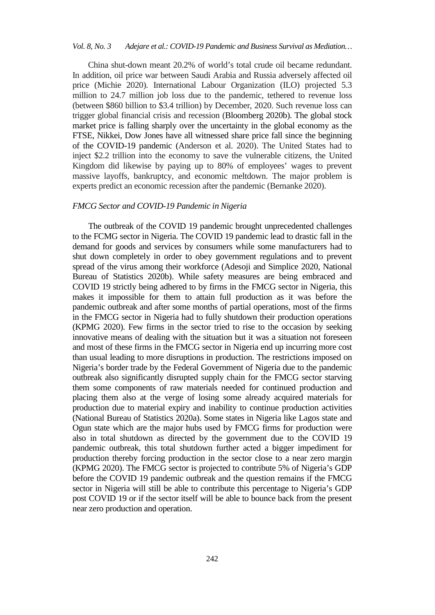China shut-down meant 20.2% of world's total crude oil became redundant. In addition, oil price war between Saudi Arabia and Russia adversely affected oil price (Michie 2020). International Labour Organization (ILO) projected 5.3 million to 24.7 million job loss due to the pandemic, tethered to revenue loss (between \$860 billion to \$3.4 trillion) by December, 2020. Such revenue loss can trigger global financial crisis and recession (Bloomberg 2020b). The global stock market price is falling sharply over the uncertainty in the global economy as the FTSE, Nikkei, Dow Jones have all witnessed share price fall since the beginning of the COVID-19 pandemic (Anderson et al. 2020). The United States had to inject \$2.2 trillion into the economy to save the vulnerable citizens, the United Kingdom did likewise by paying up to 80% of employees' wages to prevent massive layoffs, bankruptcy, and economic meltdown. The major problem is experts predict an economic recession after the pandemic (Bernanke 2020).

## *FMCG Sector and COVID-19 Pandemic in Nigeria*

The outbreak of the COVID 19 pandemic brought unprecedented challenges to the FCMG sector in Nigeria. The COVID 19 pandemic lead to drastic fall in the demand for goods and services by consumers while some manufacturers had to shut down completely in order to obey government regulations and to prevent spread of the virus among their workforce (Adesoji and Simplice 2020, National Bureau of Statistics 2020b). While safety measures are being embraced and COVID 19 strictly being adhered to by firms in the FMCG sector in Nigeria, this makes it impossible for them to attain full production as it was before the pandemic outbreak and after some months of partial operations, most of the firms in the FMCG sector in Nigeria had to fully shutdown their production operations (KPMG 2020). Few firms in the sector tried to rise to the occasion by seeking innovative means of dealing with the situation but it was a situation not foreseen and most of these firms in the FMCG sector in Nigeria end up incurring more cost than usual leading to more disruptions in production. The restrictions imposed on Nigeria's border trade by the Federal Government of Nigeria due to the pandemic outbreak also significantly disrupted supply chain for the FMCG sector starving them some components of raw materials needed for continued production and placing them also at the verge of losing some already acquired materials for production due to material expiry and inability to continue production activities (National Bureau of Statistics 2020a). Some states in Nigeria like Lagos state and Ogun state which are the major hubs used by FMCG firms for production were also in total shutdown as directed by the government due to the COVID 19 pandemic outbreak, this total shutdown further acted a bigger impediment for production thereby forcing production in the sector close to a near zero margin (KPMG 2020). The FMCG sector is projected to contribute 5% of Nigeria's GDP before the COVID 19 pandemic outbreak and the question remains if the FMCG sector in Nigeria will still be able to contribute this percentage to Nigeria's GDP post COVID 19 or if the sector itself will be able to bounce back from the present near zero production and operation.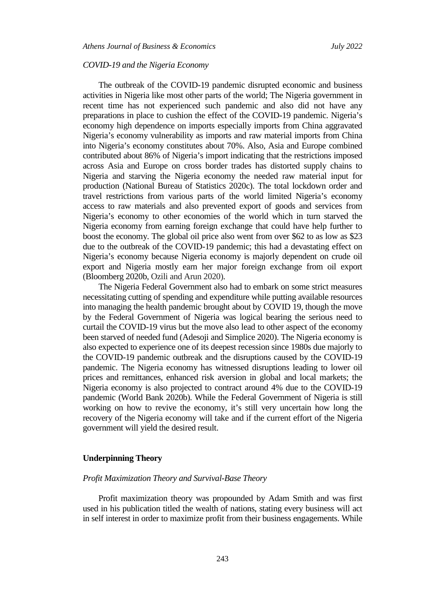### *COVID-19 and the Nigeria Economy*

The outbreak of the COVID-19 pandemic disrupted economic and business activities in Nigeria like most other parts of the world; The Nigeria government in recent time has not experienced such pandemic and also did not have any preparations in place to cushion the effect of the COVID-19 pandemic. Nigeria's economy high dependence on imports especially imports from China aggravated Nigeria's economy vulnerability as imports and raw material imports from China into Nigeria's economy constitutes about 70%. Also, Asia and Europe combined contributed about 86% of Nigeria's import indicating that the restrictions imposed across Asia and Europe on cross border trades has distorted supply chains to Nigeria and starving the Nigeria economy the needed raw material input for production (National Bureau of Statistics 2020c). The total lockdown order and travel restrictions from various parts of the world limited Nigeria's economy access to raw materials and also prevented export of goods and services from Nigeria's economy to other economies of the world which in turn starved the Nigeria economy from earning foreign exchange that could have help further to boost the economy. The global oil price also went from over \$62 to as low as \$23 due to the outbreak of the COVID-19 pandemic; this had a devastating effect on Nigeria's economy because Nigeria economy is majorly dependent on crude oil export and Nigeria mostly earn her major foreign exchange from oil export (Bloomberg 2020b, Ozili and Arun 2020).

The Nigeria Federal Government also had to embark on some strict measures necessitating cutting of spending and expenditure while putting available resources into managing the health pandemic brought about by COVID 19, though the move by the Federal Government of Nigeria was logical bearing the serious need to curtail the COVID-19 virus but the move also lead to other aspect of the economy been starved of needed fund (Adesoji and Simplice 2020). The Nigeria economy is also expected to experience one of its deepest recession since 1980s due majorly to the COVID-19 pandemic outbreak and the disruptions caused by the COVID-19 pandemic. The Nigeria economy has witnessed disruptions leading to lower oil prices and remittances, enhanced risk aversion in global and local markets; the Nigeria economy is also projected to contract around 4% due to the COVID-19 pandemic (World Bank 2020b). While the Federal Government of Nigeria is still working on how to revive the economy, it's still very uncertain how long the recovery of the Nigeria economy will take and if the current effort of the Nigeria government will yield the desired result.

#### **Underpinning Theory**

## *Profit Maximization Theory and Survival-Base Theory*

Profit maximization theory was propounded by Adam Smith and was first used in his publication titled the wealth of nations, stating every business will act in self interest in order to maximize profit from their business engagements. While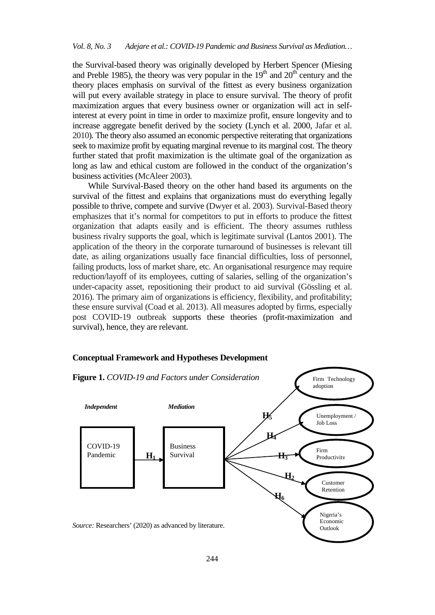the Survival-based theory was originally developed by Herbert Spencer (Miesing and Preble 1985), the theory was very popular in the  $19<sup>th</sup>$  and  $20<sup>th</sup>$  century and the theory places emphasis on survival of the fittest as every business organization will put every available strategy in place to ensure survival. The theory of profit maximization argues that every business owner or organization will act in selfinterest at every point in time in order to maximize profit, ensure longevity and to increase aggregate benefit derived by the society (Lynch et al. 2000, Jafar et al. 2010). The theory also assumed an economic perspective reiterating that organizations seek to maximize profit by equating marginal revenue to its marginal cost. The theory further stated that profit maximization is the ultimate goal of the organization as long as law and ethical custom are followed in the conduct of the organization's business activities (McAleer 2003).

While Survival-Based theory on the other hand based its arguments on the survival of the fittest and explains that organizations must do everything legally possible to thrive, compete and survive (Dwyer et al. 2003). Survival-Based theory emphasizes that it's normal for competitors to put in efforts to produce the fittest organization that adapts easily and is efficient. The theory assumes ruthless business rivalry supports the goal, which is legitimate survival (Lantos 2001). The application of the theory in the corporate turnaround of businesses is relevant till date, as ailing organizations usually face financial difficulties, loss of personnel, failing products, loss of market share, etc. An organisational resurgence may require reduction/layoff of its employees, cutting of salaries, selling of the organization's under-capacity asset, repositioning their product to aid survival (Gössling et al. 2016). The primary aim of organizations is efficiency, flexibility, and profitability; these ensure survival (Coad et al. 2013). All measures adopted by firms, especially post COVID-19 outbreak supports these theories (profit-maximization and survival), hence, they are relevant.

## **Conceptual Framework and Hypotheses Development**

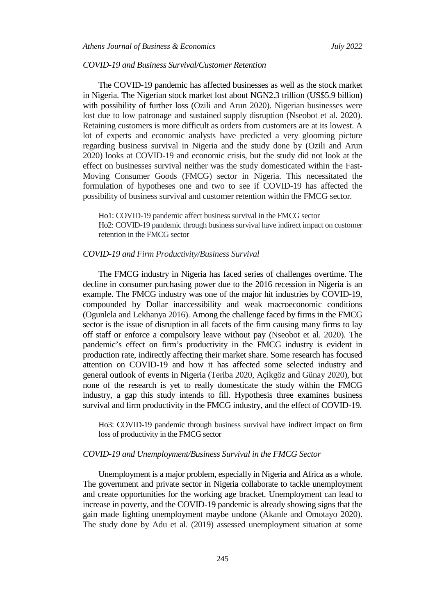#### *COVID-19 and Business Survival/Customer Retention*

The COVID-19 pandemic has affected businesses as well as the stock market in Nigeria. The Nigerian stock market lost about NGN2.3 trillion (US\$5.9 billion) with possibility of further loss (Ozili and Arun 2020). Nigerian businesses were lost due to low patronage and sustained supply disruption (Nseobot et al. 2020). Retaining customers is more difficult as orders from customers are at its lowest. A lot of experts and economic analysts have predicted a very glooming picture regarding business survival in Nigeria and the study done by (Ozili and Arun 2020) looks at COVID-19 and economic crisis, but the study did not look at the effect on businesses survival neither was the study domesticated within the Fast-Moving Consumer Goods (FMCG) sector in Nigeria. This necessitated the formulation of hypotheses one and two to see if COVID-19 has affected the possibility of business survival and customer retention within the FMCG sector.

Ho1: COVID-19 pandemic affect business survival in the FMCG sector Ho2: COVID-19 pandemic through business survival have indirect impact on customer retention in the FMCG sector

#### *COVID-19 and Firm Productivity/Business Survival*

The FMCG industry in Nigeria has faced series of challenges overtime. The decline in consumer purchasing power due to the 2016 recession in Nigeria is an example. The FMCG industry was one of the major hit industries by COVID-19, compounded by Dollar inaccessibility and weak macroeconomic conditions (Ogunlela and Lekhanya 2016). Among the challenge faced by firms in the FMCG sector is the issue of disruption in all facets of the firm causing many firms to lay off staff or enforce a compulsory leave without pay (Nseobot et al. 2020). The pandemic's effect on firm's productivity in the FMCG industry is evident in production rate, indirectly affecting their market share. Some research has focused attention on COVID-19 and how it has affected some selected industry and general outlook of events in Nigeria (Teriba 2020, Açikgöz and Günay 2020), but none of the research is yet to really domesticate the study within the FMCG industry, a gap this study intends to fill. Hypothesis three examines business survival and firm productivity in the FMCG industry, and the effect of COVID-19.

Ho3: COVID-19 pandemic through business survival have indirect impact on firm loss of productivity in the FMCG sector

#### *COVID-19 and Unemployment/Business Survival in the FMCG Sector*

Unemployment is a major problem, especially in Nigeria and Africa as a whole. The government and private sector in Nigeria collaborate to tackle unemployment and create opportunities for the working age bracket. Unemployment can lead to increase in poverty, and the COVID-19 pandemic is already showing signs that the gain made fighting unemployment maybe undone (Akanle and Omotayo 2020). The study done by Adu et al. (2019) assessed unemployment situation at some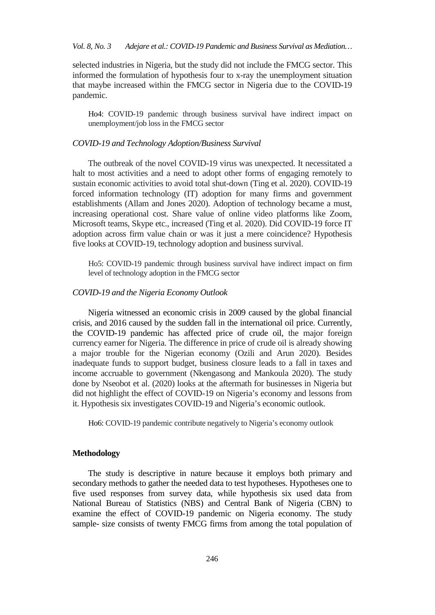selected industries in Nigeria, but the study did not include the FMCG sector. This informed the formulation of hypothesis four to x-ray the unemployment situation that maybe increased within the FMCG sector in Nigeria due to the COVID-19 pandemic.

Ho4: COVID-19 pandemic through business survival have indirect impact on unemployment/job loss in the FMCG sector

#### *COVID-19 and Technology Adoption/Business Survival*

The outbreak of the novel COVID-19 virus was unexpected. It necessitated a halt to most activities and a need to adopt other forms of engaging remotely to sustain economic activities to avoid total shut-down (Ting et al. 2020). COVID-19 forced information technology (IT) adoption for many firms and government establishments (Allam and Jones 2020). Adoption of technology became a must, increasing operational cost. Share value of online video platforms like Zoom, Microsoft teams, Skype etc., increased (Ting et al. 2020). Did COVID-19 force IT adoption across firm value chain or was it just a mere coincidence? Hypothesis five looks at COVID-19, technology adoption and business survival.

Ho5: COVID-19 pandemic through business survival have indirect impact on firm level of technology adoption in the FMCG sector

#### *COVID-19 and the Nigeria Economy Outlook*

Nigeria witnessed an economic crisis in 2009 caused by the global financial crisis, and 2016 caused by the sudden fall in the international oil price. Currently, the COVID-19 pandemic has affected price of crude oil, the major foreign currency earner for Nigeria. The difference in price of crude oil is already showing a major trouble for the Nigerian economy (Ozili and Arun 2020). Besides inadequate funds to support budget, business closure leads to a fall in taxes and income accruable to government (Nkengasong and Mankoula 2020). The study done by Nseobot et al. (2020) looks at the aftermath for businesses in Nigeria but did not highlight the effect of COVID-19 on Nigeria's economy and lessons from it. Hypothesis six investigates COVID-19 and Nigeria's economic outlook.

Ho6: COVID-19 pandemic contribute negatively to Nigeria's economy outlook

#### **Methodology**

The study is descriptive in nature because it employs both primary and secondary methods to gather the needed data to test hypotheses. Hypotheses one to five used responses from survey data, while hypothesis six used data from National Bureau of Statistics (NBS) and Central Bank of Nigeria (CBN) to examine the effect of COVID-19 pandemic on Nigeria economy. The study sample- size consists of twenty FMCG firms from among the total population of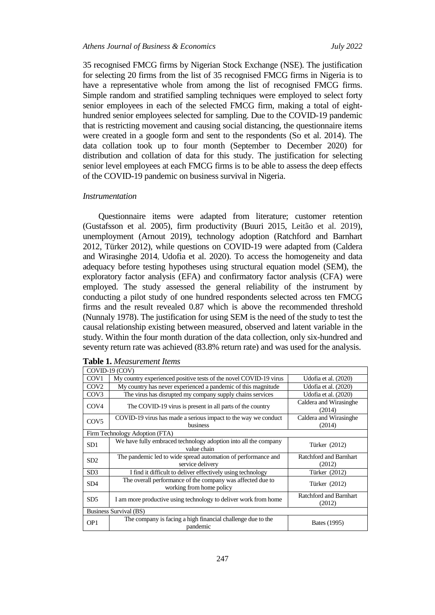35 recognised FMCG firms by Nigerian Stock Exchange (NSE). The justification for selecting 20 firms from the list of 35 recognised FMCG firms in Nigeria is to have a representative whole from among the list of recognised FMCG firms. Simple random and stratified sampling techniques were employed to select forty senior employees in each of the selected FMCG firm, making a total of eighthundred senior employees selected for sampling. Due to the COVID-19 pandemic that is restricting movement and causing social distancing, the questionnaire items were created in a google form and sent to the respondents (So et al. 2014). The data collation took up to four month (September to December 2020) for distribution and collation of data for this study. The justification for selecting senior level employees at each FMCG firms is to be able to assess the deep effects of the COVID-19 pandemic on business survival in Nigeria.

#### *Instrumentation*

Questionnaire items were adapted from literature; customer retention (Gustafsson et al. 2005), firm productivity (Buuri 2015, Leitão et al. 2019), unemployment (Arnout 2019), technology adoption (Ratchford and Barnhart 2012, Türker 2012), while questions on COVID-19 were adapted from (Caldera and Wirasinghe 2014, Udofia et al. 2020). To access the homogeneity and data adequacy before testing hypotheses using structural equation model (SEM), the exploratory factor analysis (EFA) and confirmatory factor analysis (CFA) were employed. The study assessed the general reliability of the instrument by conducting a pilot study of one hundred respondents selected across ten FMCG firms and the result revealed 0.87 which is above the recommended threshold (Nunnaly 1978). The justification for using SEM is the need of the study to test the causal relationship existing between measured, observed and latent variable in the study. Within the four month duration of the data collection, only six-hundred and seventy return rate was achieved (83.8% return rate) and was used for the analysis.

| COVID-19 (COV)                |                                                                                         |                                  |  |  |  |  |
|-------------------------------|-----------------------------------------------------------------------------------------|----------------------------------|--|--|--|--|
| COV <sub>1</sub>              | My country experienced positive tests of the novel COVID-19 virus                       | Udofia et al. (2020)             |  |  |  |  |
| COV <sub>2</sub>              | My country has never experienced a pandemic of this magnitude                           | Udofia et al. (2020)             |  |  |  |  |
| COV <sub>3</sub>              | The virus has disrupted my company supply chains services                               | Udofia et al. (2020)             |  |  |  |  |
| COV <sub>4</sub>              | The COVID-19 virus is present in all parts of the country                               | Caldera and Wirasinghe<br>(2014) |  |  |  |  |
| COV <sub>5</sub>              | COVID-19 virus has made a serious impact to the way we conduct                          | Caldera and Wirasinghe           |  |  |  |  |
|                               | business                                                                                | (2014)                           |  |  |  |  |
|                               | Firm Technology Adoption (FTA)                                                          |                                  |  |  |  |  |
| SD1                           | We have fully embraced technology adoption into all the company<br>value chain          | Türker (2012)                    |  |  |  |  |
| SD <sub>2</sub>               | The pandemic led to wide spread automation of performance and                           | Ratchford and Barnhart           |  |  |  |  |
|                               | service delivery                                                                        | (2012)                           |  |  |  |  |
| SD3                           | I find it difficult to deliver effectively using technology                             | Türker (2012)                    |  |  |  |  |
| SD <sub>4</sub>               | The overall performance of the company was affected due to<br>working from home policy  | Türker (2012)                    |  |  |  |  |
| SD <sub>5</sub>               | I am more productive using technology to deliver work from home                         | Ratchford and Barnhart<br>(2012) |  |  |  |  |
| <b>Business Survival (BS)</b> |                                                                                         |                                  |  |  |  |  |
| OP <sub>1</sub>               | The company is facing a high financial challenge due to the<br>Bates (1995)<br>pandemic |                                  |  |  |  |  |

**Table 1.** *Measurement Items*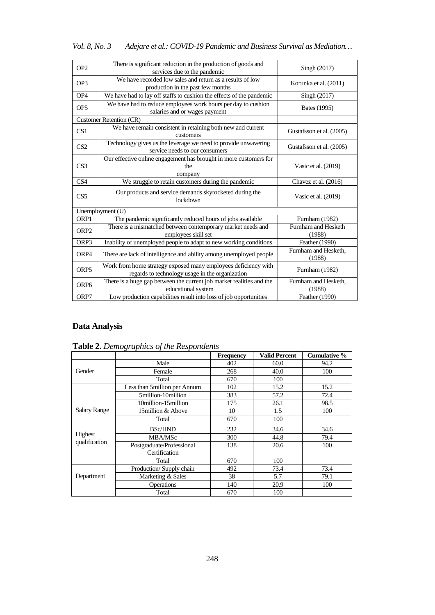| Vol. 8, No. 3 | Adejare et al.: COVID-19 Pandemic and Business Survival as Mediation |
|---------------|----------------------------------------------------------------------|
|---------------|----------------------------------------------------------------------|

| OP <sub>2</sub>  | There is significant reduction in the production of goods and<br>services due to the pandemic                     | Singh (2017)                   |
|------------------|-------------------------------------------------------------------------------------------------------------------|--------------------------------|
| OP3              | We have recorded low sales and return as a results of low<br>production in the past few months                    | Korunka et al. (2011)          |
| OP <sub>4</sub>  | We have had to lay off staffs to cushion the effects of the pandemic                                              | Singh (2017)                   |
| OP <sub>5</sub>  | We have had to reduce employees work hours per day to cushion<br>salaries and or wages payment                    | Bates (1995)                   |
|                  | Customer Retention (CR)                                                                                           |                                |
| CS <sub>1</sub>  | We have remain consistent in retaining both new and current<br>customers                                          | Gustafsson et al. (2005)       |
| CS <sub>2</sub>  | Technology gives us the leverage we need to provide unwavering<br>service needs to our consumers                  | Gustafsson et al. (2005)       |
| CS <sub>3</sub>  | Our effective online engagement has brought in more customers for<br>the<br>company                               | Vasic et al. $(2019)$          |
| CS <sub>4</sub>  | We struggle to retain customers during the pandemic                                                               | Chavez et al. (2016)           |
| CS <sub>5</sub>  | Our products and service demands skyrocketed during the<br>lockdown                                               | Vasic et al. (2019)            |
|                  | Unemployment (U)                                                                                                  |                                |
| ORP1             | The pandemic significantly reduced hours of jobs available                                                        | Furnham (1982)                 |
| ORP <sub>2</sub> | There is a mismatched between contemporary market needs and<br>employees skill set                                | Furnham and Hesketh<br>(1988)  |
| ORP3             | Inability of unemployed people to adapt to new working conditions                                                 | Feather (1990)                 |
| ORP4             | There are lack of intelligence and ability among unemployed people                                                | Furnham and Hesketh,<br>(1988) |
| ORP <sub>5</sub> | Work from home strategy exposed many employees deficiency with<br>regards to technology usage in the organization | Furnham (1982)                 |
| ORP <sub>6</sub> | There is a huge gap between the current job market realities and the<br>educational system                        | Furnham and Hesketh,<br>(1988) |
| ORP7             | Low production capabilities result into loss of job opportunities                                                 | Feather (1990)                 |

# **Data Analysis**

|                     |                              | <b>Frequency</b> | <b>Valid Percent</b> | <b>Cumulative %</b> |
|---------------------|------------------------------|------------------|----------------------|---------------------|
|                     | Male                         | 402              | 60.0                 | 94.2                |
| Gender              | Female                       | 268              | 40.0                 | 100                 |
|                     | Total                        | 670              | 100                  |                     |
|                     | Less than 5million per Annum | 102              | 15.2                 | 15.2                |
|                     | 5million-10million           | 383              | 57.2                 | 72.4                |
|                     | 10million-15million          | 175              | 26.1                 | 98.5                |
| <b>Salary Range</b> | 15 million & Above           | 10               | 1.5                  | 100                 |
|                     | Total                        | 670              | 100                  |                     |
|                     | <b>BSc/HND</b>               | 232              | 34.6                 | 34.6                |
| Highest             | MBA/MSc                      | 300              | 44.8                 | 79.4                |
| qualification       | Postgraduate/Professional    | 138              | 20.6                 | 100                 |
|                     | Certification                |                  |                      |                     |
|                     | Total                        | 670              | 100                  |                     |
|                     | Production/Supply chain      | 492              | 73.4                 | 73.4                |
| Department          | Marketing & Sales            | 38               | 5.7                  | 79.1                |
|                     | <b>Operations</b>            | 140              | 20.9                 | 100                 |
|                     | Total                        | 670              | 100                  |                     |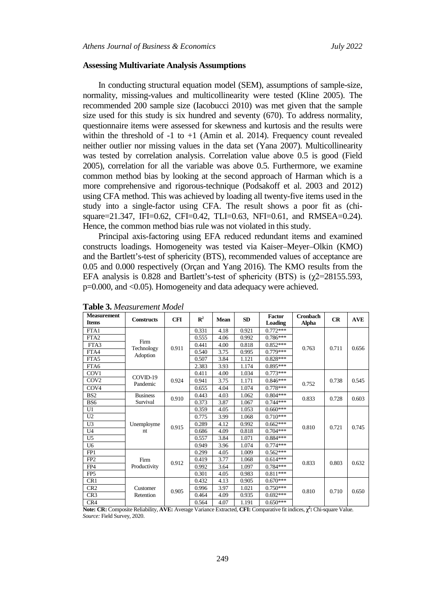#### **Assessing Multivariate Analysis Assumptions**

In conducting structural equation model (SEM), assumptions of sample-size, normality, missing-values and multicollinearity were tested (Kline 2005). The recommended 200 sample size (Iacobucci 2010) was met given that the sample size used for this study is six hundred and seventy (670). To address normality, questionnaire items were assessed for skewness and kurtosis and the results were within the threshold of  $-1$  to  $+1$  (Amin et al. 2014). Frequency count revealed neither outlier nor missing values in the data set (Yana 2007). Multicollinearity was tested by correlation analysis. Correlation value above 0.5 is good (Field 2005), correlation for all the variable was above 0.5. Furthermore, we examine common method bias by looking at the second approach of Harman which is a more comprehensive and rigorous-technique (Podsakoff et al. 2003 and 2012) using CFA method. This was achieved by loading all twenty-five items used in the study into a single-factor using CFA. The result shows a poor fit as (chisquare=21.347, IFI=0.62, CFI=0.42, TLI=0.63, NFI=0.61, and RMSEA=0.24). Hence, the common method bias rule was not violated in this study.

Principal axis-factoring using EFA reduced redundant items and examined constructs loadings. Homogeneity was tested via Kaiser–Meyer–Olkin (KMO) and the Bartlett's-test of sphericity (BTS), recommended values of acceptance are 0.05 and 0.000 respectively (Orçan and Yang 2016). The KMO results from the EFA analysis is 0.828 and Bartlett's-test of sphericity (BTS) is  $(\gamma$ 2=28155.593, p=0.000, and <0.05). Homogeneity and data adequacy were achieved.

| <b>Measurement</b><br><b>Items</b> | <b>Constructs</b> | <b>CFI</b> | $\mathbb{R}^2$ | Mean | SD    | <b>Factor</b><br><b>Loading</b> | <b>Cronbach</b><br><b>Alpha</b> | CR         | <b>AVE</b> |  |  |
|------------------------------------|-------------------|------------|----------------|------|-------|---------------------------------|---------------------------------|------------|------------|--|--|
| FTA1                               |                   |            | 0.331          | 4.18 | 0.921 | $0.772***$                      |                                 |            |            |  |  |
| FTA <sub>2</sub>                   | Firm              |            | 0.555          | 4.06 | 0.992 | $0.786***$                      |                                 | 0.711      | 0.656      |  |  |
| FTA3                               | Technology        | 0.911      | 0.441          | 4.00 | 0.818 | $0.852***$                      | 0.763                           |            |            |  |  |
| FTA4                               | Adoption          |            | 0.540          | 3.75 | 0.995 | $0.779***$                      |                                 |            |            |  |  |
| FTA5                               |                   |            | 0.507          | 3.84 | 1.121 | $0.828***$                      |                                 |            |            |  |  |
| FTA6                               |                   |            | 2.383          | 3.93 | 1.174 | $0.895***$                      |                                 |            |            |  |  |
| COV <sub>1</sub>                   | COVID-19          |            | 0.411          | 4.00 | 1.034 | $0.773***$                      |                                 |            |            |  |  |
| COV <sub>2</sub>                   | Pandemic          | 0.924      | 0.941          | 3.75 | 1.171 | $0.846***$                      | 0.752                           | 0.738      | 0.545      |  |  |
| COV <sub>4</sub>                   |                   |            | 0.655          | 4.04 | 1.074 | $0.778***$                      |                                 |            |            |  |  |
| BS <sub>2</sub>                    | <b>Business</b>   | 0.910      | 0.443          | 4.03 | 1.062 | $0.804***$                      | 0.833                           | 0.728      | 0.603      |  |  |
| BS6                                | Survival          |            |                |      |       | 0.373<br>3.87                   | 1.067                           | $0.744***$ |            |  |  |
| U1                                 |                   |            | 0.359          | 4.05 | 1.053 | $0.660***$                      | 0.810                           | 0.721      | 0.745      |  |  |
| U2                                 |                   |            | 0.775          | 3.99 | 1.068 | $0.710***$                      |                                 |            |            |  |  |
| U <sub>3</sub>                     | Unemployme        | 0.915      | 0.289          | 4.12 | 0.992 | $0.662***$                      |                                 |            |            |  |  |
| U <sub>4</sub>                     | nt                |            | 0.686          | 4.09 | 0.818 | $0.704***$                      |                                 |            |            |  |  |
| U <sub>5</sub>                     |                   |            | 0.557          | 3.84 | 1.071 | $0.884***$                      |                                 |            |            |  |  |
| U <sub>6</sub>                     |                   |            | 0.949          | 3.96 | 1.074 | $0.774***$                      |                                 |            |            |  |  |
| FP1                                |                   |            | 0.299          | 4.05 | 1.009 | $0.562***$                      |                                 |            |            |  |  |
| FP <sub>2</sub>                    | Firm              | 0.912      | 0.419          | 3.77 | 1.068 | $0.614***$                      | 0.833                           | 0.803      | 0.632      |  |  |
| FP4                                | Productivity      |            | 0.992          | 3.64 | 1.097 | $0.784***$                      |                                 |            |            |  |  |
| FP <sub>5</sub>                    |                   |            | 0.301          | 4.05 | 0.983 | $0.811***$                      |                                 |            |            |  |  |
| CR1                                |                   |            | 0.432          | 4.13 | 0.905 | $0.670***$                      | 0.810                           |            | 0.650      |  |  |
| CR <sub>2</sub>                    | Customer          | 0.905      | 0.996          | 3.97 | 1.021 | $0.750***$                      |                                 | 0.710      |            |  |  |
| CR <sub>3</sub>                    | Retention         |            | 0.464          | 4.09 | 0.935 | $0.692***$                      |                                 |            |            |  |  |
| CR4                                |                   |            | 0.564          | 4.07 | 1.191 | $0.650***$                      |                                 |            |            |  |  |

| Table 3. Measurement Model |  |
|----------------------------|--|
|                            |  |

**Note: CR:** Composite Reliability, **AVE:** Average Variance Extracted, **CFI:** Comparative fit indices, **χ 2 :** Chi-square Value. *Source:* Field Survey, 2020.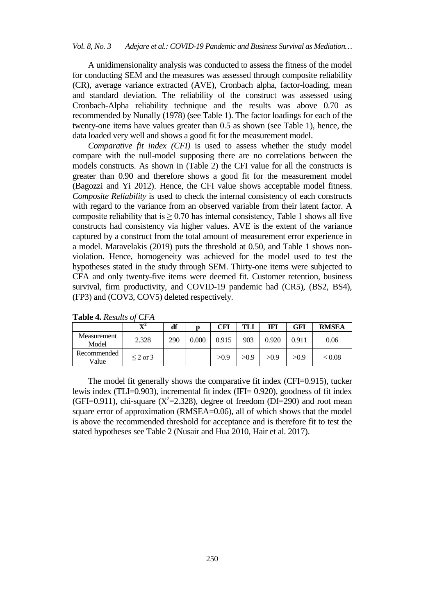A unidimensionality analysis was conducted to assess the fitness of the model for conducting SEM and the measures was assessed through composite reliability (CR), average variance extracted (AVE), Cronbach alpha, factor-loading, mean and standard deviation. The reliability of the construct was assessed using Cronbach-Alpha reliability technique and the results was above 0.70 as recommended by Nunally (1978) (see Table 1). The factor loadings for each of the twenty-one items have values greater than 0.5 as shown (see Table 1), hence, the data loaded very well and shows a good fit for the measurement model.

*Comparative fit index (CFI)* is used to assess whether the study model compare with the null-model supposing there are no correlations between the models constructs. As shown in (Table 2) the CFI value for all the constructs is greater than 0.90 and therefore shows a good fit for the measurement model (Bagozzi and Yi 2012). Hence, the CFI value shows acceptable model fitness. *Composite Reliability* is used to check the internal consistency of each constructs with regard to the variance from an observed variable from their latent factor. A composite reliability that is  $\geq$  0.70 has internal consistency, Table 1 shows all five constructs had consistency via higher values. AVE is the extent of the variance captured by a construct from the total amount of measurement error experience in a model. [Maravelakis \(](https://www.emerald.com/insight/search?q=Petros%20Maravelakis)2019) puts the threshold at 0.50, and Table 1 shows nonviolation. Hence, homogeneity was achieved for the model used to test the hypotheses stated in the study through SEM. Thirty-one items were subjected to CFA and only twenty-five items were deemed fit. Customer retention, business survival, firm productivity, and COVID-19 pandemic had (CR5), (BS2, BS4), (FP3) and (COV3, COV5) deleted respectively.

|                      | $\mathbf{v}^2$ | df  |       | CFI   | TLI  | IFI   | GFI   | <b>RMSEA</b> |
|----------------------|----------------|-----|-------|-------|------|-------|-------|--------------|
| Measurement<br>Model | 2.328          | 290 | 0.000 | 0.915 | 903  | 0.920 | 0.911 | 0.06         |
| Recommended<br>Value | $\leq$ 2 or 3  |     |       | >0.9  | >0.9 | >0.9  | >0.9  | < 0.08       |

**Table 4.** *Results of CFA*

The model fit generally shows the comparative fit index (CFI=0.915), tucker lewis index (TLI=0.903), incremental fit index (IFI= 0.920), goodness of fit index (GFI=0.911), chi-square ( $X^2$ =2.328), degree of freedom (Df=290) and root mean square error of approximation (RMSEA=0.06), all of which shows that the model is above the recommended threshold for acceptance and is therefore fit to test the stated hypotheses see Table 2 (Nusair and Hua 2010, Hair et al. 2017).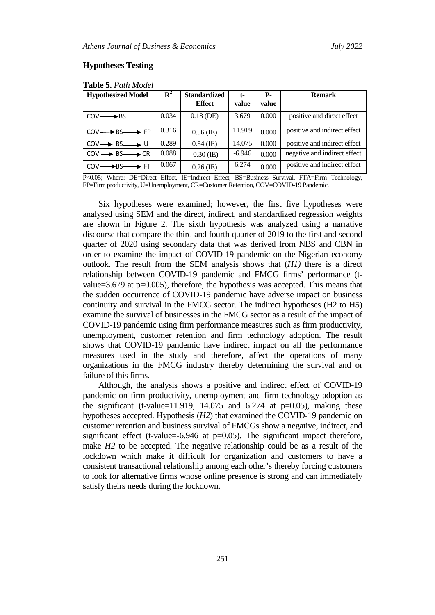## **Hypotheses Testing**

| <b>Hypothesized Model</b>                   | ${\bf R}^2$ | <b>Standardized</b><br><b>Effect</b> | $t-$<br>value | <b>P</b> -<br>value | <b>Remark</b>                |
|---------------------------------------------|-------------|--------------------------------------|---------------|---------------------|------------------------------|
| $COV \longrightarrow BS$                    | 0.034       | $0.18$ (DE)                          | 3.679         | 0.000               | positive and direct effect   |
| $COV \longrightarrow BS \longrightarrow FP$ | 0.316       | $0.56$ (IE)                          | 11.919        | 0.000               | positive and indirect effect |
| $COV \rightarrow BS \rightarrow U$          | 0.289       | $0.54$ (IE)                          | 14.075        | 0.000               | positive and indirect effect |
| $COV \rightarrow BS \rightarrow CR$         | 0.088       | $-0.30$ (IE)                         | $-6.946$      | 0.000               | negative and indirect effect |
| $COV \longrightarrow BS \longrightarrow FT$ | 0.067       | $0.26$ (IE)                          | 6.274         | 0.000               | positive and indirect effect |

**Table 5.** *Path Model*

P<0.05; Where: DE=Direct Effect, IE=Indirect Effect, BS=Business Survival, FTA=Firm Technology, FP=Firm productivity, U=Unemployment, CR=Customer Retention, COV=COVID-19 Pandemic.

Six hypotheses were examined; however, the first five hypotheses were analysed using SEM and the direct, indirect, and standardized regression weights are shown in Figure 2. The sixth hypothesis was analyzed using a narrative discourse that compare the third and fourth quarter of 2019 to the first and second quarter of 2020 using secondary data that was derived from NBS and CBN in order to examine the impact of COVID-19 pandemic on the Nigerian economy outlook. The result from the SEM analysis shows that  $(H)$  there is a direct relationship between COVID-19 pandemic and FMCG firms' performance (tvalue=3.679 at p=0.005), therefore, the hypothesis was accepted. This means that the sudden occurrence of COVID-19 pandemic have adverse impact on business continuity and survival in the FMCG sector. The indirect hypotheses (H2 to H5) examine the survival of businesses in the FMCG sector as a result of the impact of COVID-19 pandemic using firm performance measures such as firm productivity, unemployment, customer retention and firm technology adoption. The result shows that COVID-19 pandemic have indirect impact on all the performance measures used in the study and therefore, affect the operations of many organizations in the FMCG industry thereby determining the survival and or failure of this firms.

Although, the analysis shows a positive and indirect effect of COVID-19 pandemic on firm productivity, unemployment and firm technology adoption as the significant (t-value=11.919, 14.075 and 6.274 at  $p=0.05$ ), making these hypotheses accepted. Hypothesis (*H2*) that examined the COVID-19 pandemic on customer retention and business survival of FMCGs show a negative, indirect, and significant effect (t-value=-6.946 at  $p=0.05$ ). The significant impact therefore, make *H2* to be accepted. The negative relationship could be as a result of the lockdown which make it difficult for organization and customers to have a consistent transactional relationship among each other's thereby forcing customers to look for alternative firms whose online presence is strong and can immediately satisfy theirs needs during the lockdown.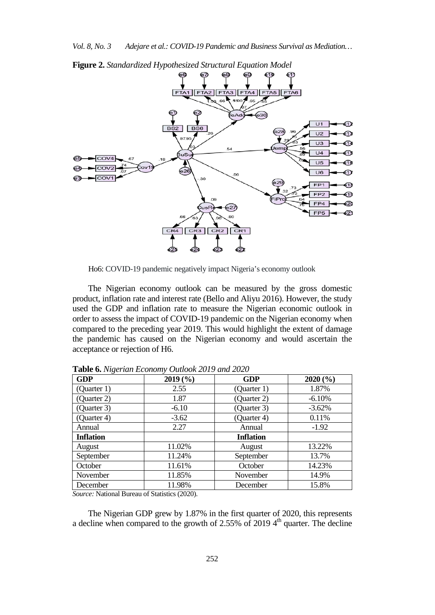

**Figure 2.** *Standardized Hypothesized Structural Equation Model*

Ho6: COVID-19 pandemic negatively impact Nigeria's economy outlook

The Nigerian economy outlook can be measured by the gross domestic product, inflation rate and interest rate (Bello and Aliyu 2016). However, the study used the GDP and inflation rate to measure the Nigerian economic outlook in order to assess the impact of COVID-19 pandemic on the Nigerian economy when compared to the preceding year 2019. This would highlight the extent of damage the pandemic has caused on the Nigerian economy and would ascertain the acceptance or rejection of H6.

| <b>GDP</b>       | 2019(%) | <b>GDP</b>       | 2020(%)  |
|------------------|---------|------------------|----------|
| (Quarter 1)      | 2.55    | (Quarter 1)      | 1.87%    |
| (Quarter 2)      | 1.87    | (Quarter 2)      | $-6.10%$ |
| (Quarter 3)      | $-6.10$ | (Quarter 3)      | $-3.62%$ |
| (Quarter 4)      | $-3.62$ | (Quarter 4)      | 0.11%    |
| Annual           | 2.27    | Annual           | $-1.92$  |
| <b>Inflation</b> |         | <b>Inflation</b> |          |
| August           | 11.02%  | August           | 13.22%   |
| September        | 11.24%  | September        | 13.7%    |
| October          | 11.61%  | October          | 14.23%   |
| November         | 11.85%  | November         | 14.9%    |
| December         | 11.98%  | December         | 15.8%    |

**Table 6.** *Nigerian Economy Outlook 2019 and 2020*

*Source:* National Bureau of Statistics (2020).

The Nigerian GDP grew by 1.87% in the first quarter of 2020, this represents a decline when compared to the growth of  $2.55\%$  of 2019 4<sup>th</sup> quarter. The decline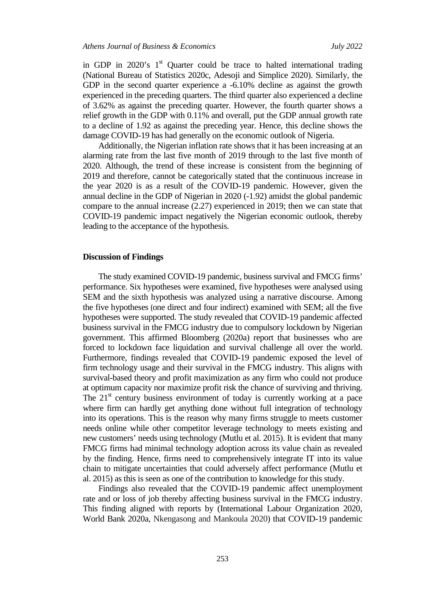in GDP in  $2020$ 's  $1<sup>st</sup>$  Quarter could be trace to halted international trading (National Bureau of Statistics 2020c, Adesoji and Simplice 2020). Similarly, the GDP in the second quarter experience a -6.10% decline as against the growth experienced in the preceding quarters. The third quarter also experienced a decline of 3.62% as against the preceding quarter. However, the fourth quarter shows a relief growth in the GDP with 0.11% and overall, put the GDP annual growth rate to a decline of 1.92 as against the preceding year. Hence, this decline shows the damage COVID-19 has had generally on the economic outlook of Nigeria.

Additionally, the Nigerian inflation rate shows that it has been increasing at an alarming rate from the last five month of 2019 through to the last five month of 2020. Although, the trend of these increase is consistent from the beginning of 2019 and therefore, cannot be categorically stated that the continuous increase in the year 2020 is as a result of the COVID-19 pandemic. However, given the annual decline in the GDP of Nigerian in 2020 (-1.92) amidst the global pandemic compare to the annual increase (2.27) experienced in 2019; then we can state that COVID-19 pandemic impact negatively the Nigerian economic outlook, thereby leading to the acceptance of the hypothesis.

#### **Discussion of Findings**

The study examined COVID-19 pandemic, business survival and FMCG firms' performance. Six hypotheses were examined, five hypotheses were analysed using SEM and the sixth hypothesis was analyzed using a narrative discourse. Among the five hypotheses (one direct and four indirect) examined with SEM; all the five hypotheses were supported. The study revealed that COVID-19 pandemic affected business survival in the FMCG industry due to compulsory lockdown by Nigerian government. This affirmed Bloomberg (2020a) report that businesses who are forced to lockdown face liquidation and survival challenge all over the world. Furthermore, findings revealed that COVID-19 pandemic exposed the level of firm technology usage and their survival in the FMCG industry. This aligns with survival-based theory and profit maximization as any firm who could not produce at optimum capacity nor maximize profit risk the chance of surviving and thriving. The  $21<sup>st</sup>$  century business environment of today is currently working at a pace where firm can hardly get anything done without full integration of technology into its operations. This is the reason why many firms struggle to meets customer needs online while other competitor leverage technology to meets existing and new customers' needs using technology (Mutlu et al. 2015). It is evident that many FMCG firms had minimal technology adoption across its value chain as revealed by the finding. Hence, firms need to comprehensively integrate IT into its value chain to mitigate uncertainties that could adversely affect performance (Mutlu et al. 2015) as this is seen as one of the contribution to knowledge for this study.

Findings also revealed that the COVID-19 pandemic affect unemployment rate and or loss of job thereby affecting business survival in the FMCG industry. This finding aligned with reports by (International Labour Organization 2020, World Bank 2020a, Nkengasong and Mankoula 2020) that COVID-19 pandemic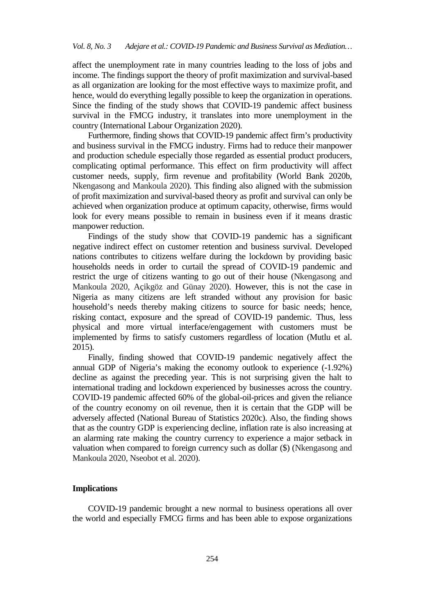affect the unemployment rate in many countries leading to the loss of jobs and income. The findings support the theory of profit maximization and survival-based as all organization are looking for the most effective ways to maximize profit, and hence, would do everything legally possible to keep the organization in operations. Since the finding of the study shows that COVID-19 pandemic affect business survival in the FMCG industry, it translates into more unemployment in the country (International Labour Organization 2020).

Furthermore, finding shows that COVID-19 pandemic affect firm's productivity and business survival in the FMCG industry. Firms had to reduce their manpower and production schedule especially those regarded as essential product producers, complicating optimal performance. This effect on firm productivity will affect customer needs, supply, firm revenue and profitability (World Bank 2020b, Nkengasong and Mankoula 2020). This finding also aligned with the submission of profit maximization and survival-based theory as profit and survival can only be achieved when organization produce at optimum capacity, otherwise, firms would look for every means possible to remain in business even if it means drastic manpower reduction.

Findings of the study show that COVID-19 pandemic has a significant negative indirect effect on customer retention and business survival. Developed nations contributes to citizens welfare during the lockdown by providing basic households needs in order to curtail the spread of COVID-19 pandemic and restrict the urge of citizens wanting to go out of their house (Nkengasong and Mankoula 2020, Açikgöz and Günay 2020). However, this is not the case in Nigeria as many citizens are left stranded without any provision for basic household's needs thereby making citizens to source for basic needs; hence, risking contact, exposure and the spread of COVID-19 pandemic. Thus, less physical and more virtual interface/engagement with customers must be implemented by firms to satisfy customers regardless of location (Mutlu et al. 2015).

Finally, finding showed that COVID-19 pandemic negatively affect the annual GDP of Nigeria's making the economy outlook to experience (-1.92%) decline as against the preceding year. This is not surprising given the halt to international trading and lockdown experienced by businesses across the country. COVID-19 pandemic affected 60% of the global-oil-prices and given the reliance of the country economy on oil revenue, then it is certain that the GDP will be adversely affected (National Bureau of Statistics 2020c). Also, the finding shows that as the country GDP is experiencing decline, inflation rate is also increasing at an alarming rate making the country currency to experience a major setback in valuation when compared to foreign currency such as dollar (\$) (Nkengasong and Mankoula 2020, Nseobot et al. 2020).

## **Implications**

COVID-19 pandemic brought a new normal to business operations all over the world and especially FMCG firms and has been able to expose organizations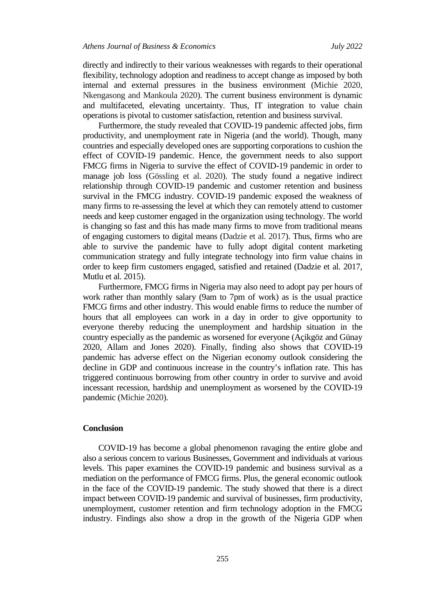directly and indirectly to their various weaknesses with regards to their operational flexibility, technology adoption and readiness to accept change as imposed by both internal and external pressures in the business environment (Michie 2020, Nkengasong and Mankoula 2020). The current business environment is dynamic and multifaceted, elevating uncertainty. Thus, IT integration to value chain operations is pivotal to customer satisfaction, retention and business survival.

Furthermore, the study revealed that COVID-19 pandemic affected jobs, firm productivity, and unemployment rate in Nigeria (and the world). Though, many countries and especially developed ones are supporting corporations to cushion the effect of COVID-19 pandemic. Hence, the government needs to also support FMCG firms in Nigeria to survive the effect of COVID-19 pandemic in order to manage job loss (Gössling et al. 2020). The study found a negative indirect relationship through COVID-19 pandemic and customer retention and business survival in the FMCG industry. COVID-19 pandemic exposed the weakness of many firms to re-assessing the level at which they can remotely attend to customer needs and keep customer engaged in the organization using technology. The world is changing so fast and this has made many firms to move from traditional means of engaging customers to digital means (Dadzie et al. 2017). Thus, firms who are able to survive the pandemic have to fully adopt digital content marketing communication strategy and fully integrate technology into firm value chains in order to keep firm customers engaged, satisfied and retained (Dadzie et al. 2017, Mutlu et al. 2015).

Furthermore, FMCG firms in Nigeria may also need to adopt pay per hours of work rather than monthly salary (9am to 7pm of work) as is the usual practice FMCG firms and other industry. This would enable firms to reduce the number of hours that all employees can work in a day in order to give opportunity to everyone thereby reducing the unemployment and hardship situation in the country especially as the pandemic as worsened for everyone (Açikgöz and Günay 2020, Allam and Jones 2020). Finally, finding also shows that COVID-19 pandemic has adverse effect on the Nigerian economy outlook considering the decline in GDP and continuous increase in the country's inflation rate. This has triggered continuous borrowing from other country in order to survive and avoid incessant recession, hardship and unemployment as worsened by the COVID-19 pandemic (Michie 2020).

### **Conclusion**

COVID-19 has become a global phenomenon ravaging the entire globe and also a serious concern to various Businesses, Government and individuals at various levels. This paper examines the COVID-19 pandemic and business survival as a mediation on the performance of FMCG firms. Plus, the general economic outlook in the face of the COVID-19 pandemic. The study showed that there is a direct impact between COVID-19 pandemic and survival of businesses, firm productivity, unemployment, customer retention and firm technology adoption in the FMCG industry. Findings also show a drop in the growth of the Nigeria GDP when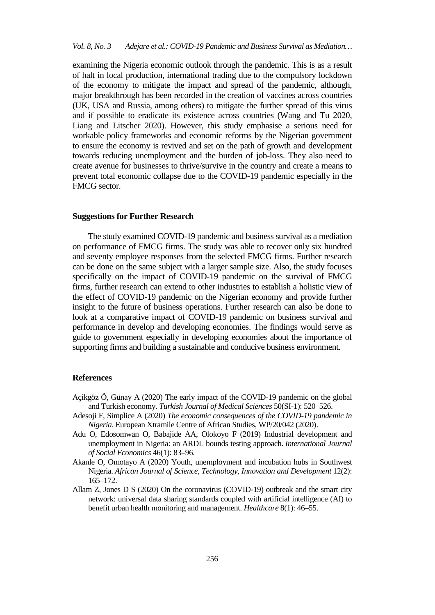examining the Nigeria economic outlook through the pandemic. This is as a result of halt in local production, international trading due to the compulsory lockdown of the economy to mitigate the impact and spread of the pandemic, although, major breakthrough has been recorded in the creation of vaccines across countries (UK, USA and Russia, among others) to mitigate the further spread of this virus and if possible to eradicate its existence across countries (Wang and Tu 2020, Liang and Litscher 2020). However, this study emphasise a serious need for workable policy frameworks and economic reforms by the Nigerian government to ensure the economy is revived and set on the path of growth and development towards reducing unemployment and the burden of job-loss. They also need to create avenue for businesses to thrive/survive in the country and create a means to prevent total economic collapse due to the COVID-19 pandemic especially in the FMCG sector.

#### **Suggestions for Further Research**

The study examined COVID-19 pandemic and business survival as a mediation on performance of FMCG firms. The study was able to recover only six hundred and seventy employee responses from the selected FMCG firms. Further research can be done on the same subject with a larger sample size. Also, the study focuses specifically on the impact of COVID-19 pandemic on the survival of FMCG firms, further research can extend to other industries to establish a holistic view of the effect of COVID-19 pandemic on the Nigerian economy and provide further insight to the future of business operations. Further research can also be done to look at a comparative impact of COVID-19 pandemic on business survival and performance in develop and developing economies. The findings would serve as guide to government especially in developing economies about the importance of supporting firms and building a sustainable and conducive business environment.

#### **References**

- Açikgöz Ö, Günay A (2020) The early impact of the COVID-19 pandemic on the global and Turkish economy. *Turkish Journal of Medical Sciences* 50(SI-1): 520–526.
- Adesoji F, Simplice A (2020) *The economic consequences of the COVID-19 pandemic in Nigeria*. European Xtramile Centre of African Studies, WP/20/042 (2020).
- Adu O, Edosomwan O, Babajide AA, Olokoyo F (2019) Industrial development and unemployment in Nigeria: an ARDL bounds testing approach. *International Journal of Social Economics* 46(1): 83–96.
- Akanle O, Omotayo A (2020) Youth, unemployment and incubation hubs in Southwest Nigeria. *African Journal of Science, Technology, Innovation and Development* 12(2): 165–172.
- Allam Z, Jones D S (2020) On the coronavirus (COVID-19) outbreak and the smart city network: universal data sharing standards coupled with artificial intelligence (AI) to benefit urban health monitoring and management. *Healthcare* 8(1): 46–55.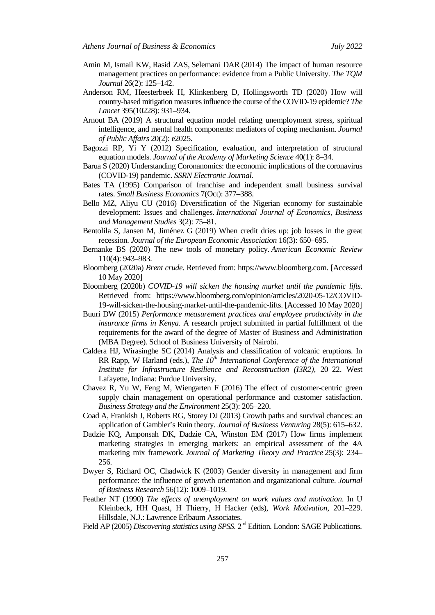- [Amin](https://www.emerald.com/insight/search?q=Muslim%20Amin) M, Ismail KW, Rasid ZAS, Selemani DAR (2014) The impact of human resource management practices on performance: evidence from a Public University. *[The TQM](https://www.emerald.com/insight/publication/issn/1754-2731)  [Journal](https://www.emerald.com/insight/publication/issn/1754-2731)* 26(2): 125–142.
- Anderson RM, Heesterbeek H, Klinkenberg D, Hollingsworth TD (2020) How will country-based mitigation measures influence the course of the COVID-19 epidemic? *The Lancet* 395(10228): 931–934.
- Arnout BA (2019) A structural equation model relating unemployment stress, spiritual intelligence, and mental health components: mediators of coping mechanism. *Journal of Public Affairs* 20(2): e2025.
- Bagozzi RP, Yi Y (2012) Specification, evaluation, and interpretation of structural equation models. *Journal of the Academy of Marketing Science* 40(1): 8–34.
- Barua S (2020) Understanding Coronanomics: the economic implications of the coronavirus (COVID-19) pandemic. *SSRN Electronic Journal.*
- Bates TA (1995) Comparison of franchise and independent small business survival rates. *Small Business Economics* 7(Oct): 377–388.
- Bello MZ, Aliyu CU (2016) Diversification of the Nigerian economy for sustainable development: Issues and challenges. *International Journal of Economics, Business and Management Studies* 3(2): 75–81.
- Bentolila S, Jansen M, Jiménez G (2019) When credit dries up: job losses in the great recession. *Journal of the European Economic Association* 16(3): 650–695.
- Bernanke BS (2020) The new tools of monetary policy. *American Economic Review* 110(4): 943–983.
- Bloomberg (2020a) *Brent crude*. Retrieved from: [https://www.bloomberg.com.](https://www.bloomberg.com/) [Accessed 10 May 2020]
- Bloomberg (2020b) *COVID-19 will sicken the housing market until the pandemic lifts*. Retrieved from: [https://www.bloomberg.com/opinion/articles/2020-05-12/COVID-](https://www.bloomberg.com/opinion/articles/2020-05-12/COVID-19-will-sicken-the-housing-market-until-the-pandemic-lifts)[19-will-sicken-the-housing-market-until-the-pandemic-lifts.](https://www.bloomberg.com/opinion/articles/2020-05-12/COVID-19-will-sicken-the-housing-market-until-the-pandemic-lifts) [Accessed 10 May 2020]
- Buuri DW (2015) *Performance measurement practices and employee productivity in the insurance firms in Kenya.* A research project submitted in partial fulfillment of the requirements for the award of the degree of Master of Business and Administration (MBA Degree). School of Business University of Nairobi.
- Caldera HJ, Wirasinghe SC (2014) Analysis and classification of volcanic eruptions*.* In RR Rapp, W Harland (eds.), *The 10<sup>th</sup> International Conference of the International Institute for Infrastructure Resilience and Reconstruction (I3R2)*, 20–22. West Lafayette, Indiana: Purdue University.
- Chavez R, Yu W, Feng M, Wiengarten F (2016) The effect of customer-centric green supply chain management on operational performance and customer satisfaction. *Business Strategy and the Environment* 25(3): 205–220.
- Coad A, Frankish J, Roberts RG, Storey DJ (2013) Growth paths and survival chances: an application of Gambler's Ruin theory. *Journal of Business Venturing* 28(5): 615–632.
- Dadzie KQ, Amponsah DK, Dadzie CA, Winston EM (2017) How firms implement marketing strategies in emerging markets: an empirical assessment of the 4A marketing mix framework. *Journal of Marketing Theory and Practice* 25(3): 234– 256.
- Dwyer S, Richard OC, Chadwick K (2003) Gender diversity in management and firm performance: the influence of growth orientation and organizational culture. *[Journal](https://econpapers.repec.org/article/eeejbrese/)  [of Business Research](https://econpapers.repec.org/article/eeejbrese/)* 56(12): 1009–1019.
- Feather NT (1990) *The effects of unemployment on work values and motivation*. In U Kleinbeck, HH Quast, H Thierry, H Hacker (eds), *Work Motivation*, 201–229. Hillsdale, N.J.: Lawrence Erlbaum Associates.
- Field AP (2005) *Discovering statistics using SPSS*. 2<sup>nd</sup> Edition. London: SAGE Publications.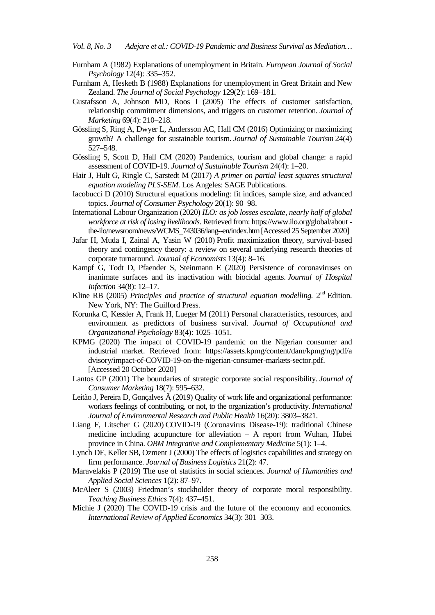*Vol. 8, No. 3 Adejare et al.: COVID-19 Pandemic and Business Survival as Mediation…*

- Furnham A (1982) Explanations of unemployment in Britain. *European Journal of Social Psychology* 12(4): 335–352.
- Furnham A, Hesketh B (1988) Explanations for unemployment in Great Britain and New Zealand. *The Journal of Social Psychology* 129(2): 169–181.
- Gustafsson A, Johnson MD, Roos I (2005) The effects of customer satisfaction, relationship commitment dimensions, and triggers on customer retention. *Journal of Marketing* 69(4): 210–218.
- Gössling S, Ring A, Dwyer L, Andersson AC, Hall CM (2016) Optimizing or maximizing growth? A challenge for sustainable tourism. *Journal of Sustainable Tourism* 24(4) 527–548.
- Gössling S, Scott D, Hall CM (2020) Pandemics, tourism and global change: a rapid assessment of COVID-19. *Journal of Sustainable Tourism* 24(4): 1–20.
- Hair J, Hult G, Ringle C, Sarstedt M (2017) *A primer on partial least squares structural equation modeling PLS-SEM.* Los Angeles: SAGE Publications.
- Iacobucci D (2010) Structural equations modeling: fit indices, sample size, and advanced topics. *Journal of Consumer Psychology* 20(1): 90–98.
- International Labour Organization (2020) *ILO: as job losses escalate, nearly half of global workforce at risk of losing livelihoods*. Retrieved from: https://www.ilo.org/global/about the-ilo/newsroom/news/WCMS\_743036/lang--en/index.htm[Accessed 25 September 2020]
- Jafar H, Muda I, Zainal A, Yasin W (2010) Profit maximization theory, survival-based theory and contingency theory: a review on several underlying research theories of corporate turnaround. *Journal of Economists* 13(4): 8–16.
- Kampf G, Todt D, Pfaender S, Steinmann E (2020) Persistence of coronaviruses on inanimate surfaces and its inactivation with biocidal agents. *Journal of Hospital Infection* 34(8): 12–17.
- Kline RB (2005) *Principles and practice of structural equation modelling.* 2<sup>nd</sup> Edition. New York, NY: The Guilford Press.
- Korunka C, Kessler A, Frank H, Lueger M (2011) Personal characteristics, resources, and environment as predictors of business survival. *Journal of Occupational and Organizational Psychology* 83(4): 1025–1051.
- KPMG (2020) The impact of COVID-19 pandemic on the Nigerian consumer and industrial market. Retrieved from: https://assets.kpmg/content/dam/kpmg/ng/pdf/a dvisory/impact-of-COVID-19-on-the-nigerian-consumer-markets-sector.pdf. [Accessed 20 October 2020]
- Lantos GP (2001) The boundaries of strategic corporate social responsibility. *Journal of Consumer Marketing* 18(7): 595–632.
- Leitão J, Pereira D, Goncalves  $\hat{A}$  (2019) Quality of work life and organizational performance: workers feelings of contributing, or not, to the organization's productivity. *International Journal of Environmental Research and Public Health* 16(20): 3803–3821.
- Liang F, Litscher G (2020) COVID-19 (Coronavirus Disease-19): traditional Chinese medicine including acupuncture for alleviation – A report from Wuhan, Hubei province in China. *OBM Integrative and Complementary Medicine* 5(1): 1–4.
- Lynch DF, Keller SB, Ozment J (2000) The effects of logistics capabilities and strategy on firm performance. *Journal of Business Logistics* 21(2): 47.
- [Maravelakis](https://www.emerald.com/insight/search?q=Petros%20Maravelakis) P (2019) The use of statistics in social sciences. *[Journal of Humanities and](https://www.emerald.com/insight/publication/issn/2632-279X)  [Applied Social Sciences](https://www.emerald.com/insight/publication/issn/2632-279X)* 1(2): 87–97.
- McAleer S (2003) Friedman's stockholder theory of corporate moral responsibility. *Teaching Business Ethics* 7(4): 437–451.
- Michie J (2020) The COVID-19 crisis and the future of the economy and economics*. International Review of Applied Economics* 34(3): 301–303.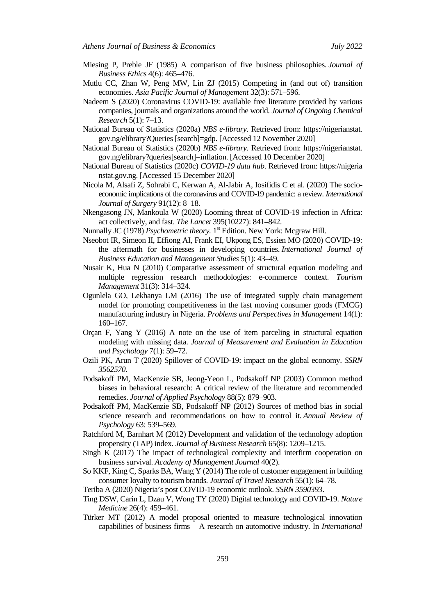- Miesing P, Preble JF (1985) A comparison of five business philosophies. *Journal of Business Ethics* 4(6): 465–476.
- Mutlu CC, Zhan W, Peng MW, Lin ZJ (2015) Competing in (and out of) transition economies. *Asia Pacific Journal of Management* 32(3): 571–596.
- Nadeem S (2020) Coronavirus COVID-19: available free literature provided by various companies, journals and organizations around the world. *Journal of Ongoing Chemical Research* 5(1): 7–13.
- National Bureau of Statistics (2020a) *NBS e-library*. Retrieved from: https://nigerianstat. gov.ng/elibrary?Queries [search]=gdp. [Accessed 12 November 2020]
- National Bureau of Statistics (2020b) *NBS e-library*. Retrieved from: https://nigerianstat. gov.ng/elibrary?queries[search]=inflation. [Accessed 10 December 2020]
- National Bureau of Statistics (2020c) *COVID-19 data hub*. Retrieved from: https://nigeria nstat.gov.ng. [Accessed 15 December 2020]
- Nicola M, Alsafi Z, Sohrabi C, Kerwan A, Al-Jabir A, Iosifidis C et al. (2020) The socioeconomic implications of the coronavirus and COVID-19 pandemic: a review. *International Journal of Surgery* 91(12): 8–18.
- Nkengasong JN, Mankoula W (2020) Looming threat of COVID-19 infection in Africa: act collectively, and fast. *The Lancet* 395(10227): 841–842.
- Nunnally JC (1978) *Psychometric theory*. 1<sup>st</sup> Edition. New York: Mcgraw Hill.
- Nseobot IR, Simeon II, Effiong AI, Frank EI, Ukpong ES, Essien MO (2020) COVID-19: the aftermath for businesses in developing countries. *International Journal of Business Education and Management Studies* 5(1): 43–49.
- Nusair K, Hua N (2010) Comparative assessment of structural equation modeling and multiple regression research methodologies: e-commerce context. *Tourism Management* 31(3): 314–324.
- Ogunlela GO, Lekhanya LM (2016) The use of integrated supply chain management model for promoting competitiveness in the fast moving consumer goods (FMCG) manufacturing industry in Nigeria. *Problems and Perspectives in Management* 14(1): 160–167.
- Orçan F, Yang Y (2016) A note on the use of item parceling in structural equation modeling with missing data. *Journal of Measurement and Evaluation in Education and Psychology* 7(1): 59–72.
- Ozili PK, Arun T (2020) Spillover of COVID-19: impact on the global economy. *SSRN 3562570*.
- Podsakoff PM, MacKenzie SB, Jeong-Yeon L, Podsakoff NP (2003) Common method biases in behavioral research: A critical review of the literature and recommended remedies. *Journal of Applied Psychology* 88(5): 879–903.
- Podsakoff PM, MacKenzie SB, Podsakoff NP (2012) Sources of method bias in social science research and recommendations on how to control it. *Annual Review of Psychology* 63: 539–569.
- Ratchford M, Barnhart M (2012) Development and validation of the technology adoption propensity (TAP) index. *Journal of Business Research* 65(8): 1209–1215.
- [Singh](https://journals.aom.org/doi/abs/10.5465/256886) K (2017) [The impact of technological complexity and interfirm cooperation on](https://journals.aom.org/doi/full/10.5465/256886)  [business survival.](https://journals.aom.org/doi/full/10.5465/256886) *[Academy of Management Journal](https://journals.aom.org/journal/amj)* 40(2).
- So KKF, King C, Sparks BA, Wang Y (2014) The role of customer engagement in building consumer loyalty to tourism brands*. Journal of Travel Research* 55(1): 64–78.
- Teriba A (2020) Nigeria's post COVID-19 economic outlook. *SSRN 3590393*.
- Ting DSW, Carin L, Dzau V, Wong TY (2020) Digital technology and COVID-19. *Nature Medicine* 26(4): 459–461.
- Türker MT (2012) A model proposal oriented to measure technological innovation capabilities of business firms – A research on automotive industry. In *International*